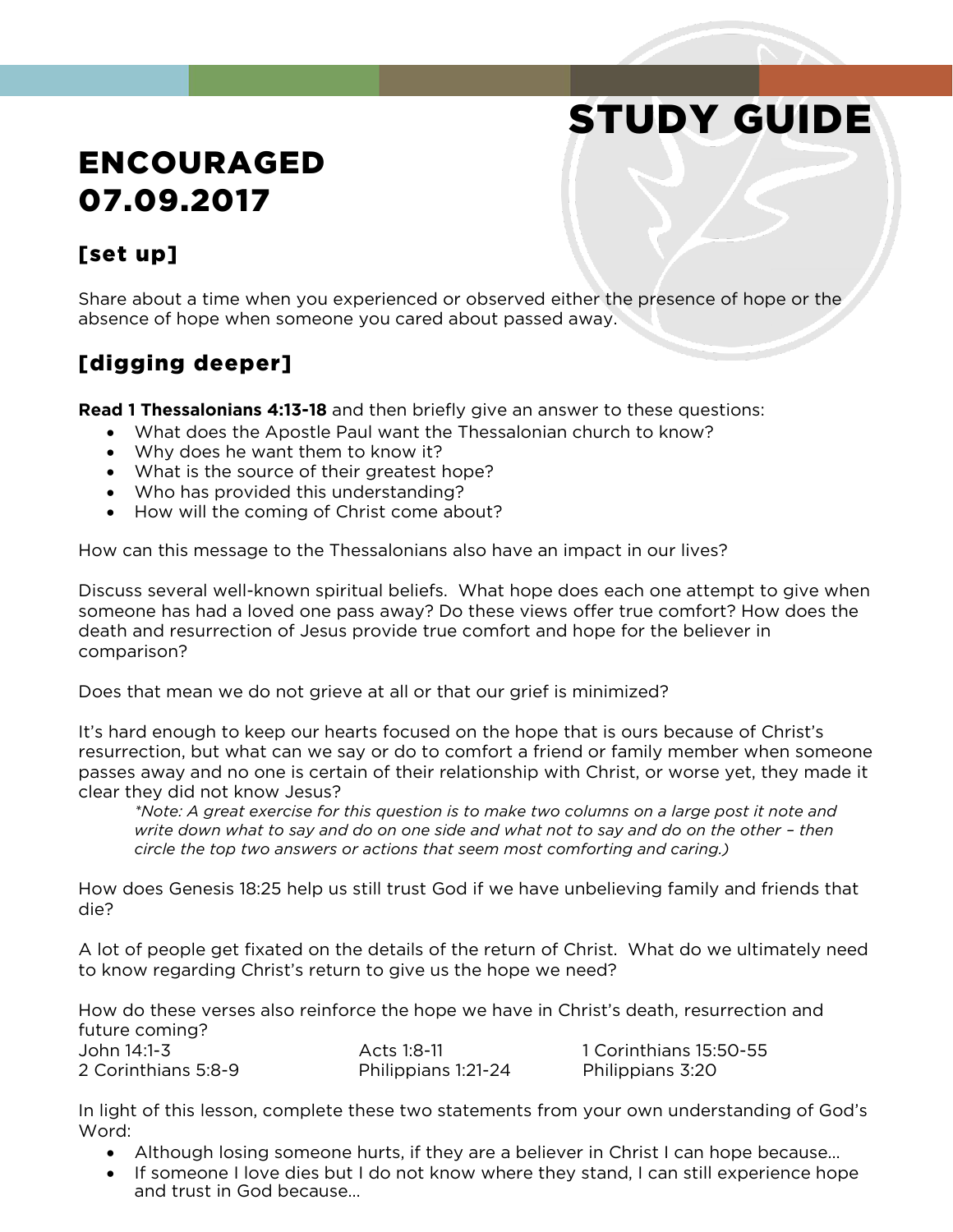# STUDY GUIDE

## ENCOURAGED 07.09.2017

### [set up]

Share about a time when you experienced or observed either the presence of hope or the absence of hope when someone you cared about passed away.

## [digging deeper]

**Read 1 Thessalonians 4:13-18** and then briefly give an answer to these questions:

- What does the Apostle Paul want the Thessalonian church to know?
- Why does he want them to know it?
- What is the source of their greatest hope?
- Who has provided this understanding?
- How will the coming of Christ come about?

How can this message to the Thessalonians also have an impact in our lives?

Discuss several well-known spiritual beliefs. What hope does each one attempt to give when someone has had a loved one pass away? Do these views offer true comfort? How does the death and resurrection of Jesus provide true comfort and hope for the believer in comparison?

Does that mean we do not grieve at all or that our grief is minimized?

It's hard enough to keep our hearts focused on the hope that is ours because of Christ's resurrection, but what can we say or do to comfort a friend or family member when someone passes away and no one is certain of their relationship with Christ, or worse yet, they made it clear they did not know Jesus?

*\*Note: A great exercise for this question is to make two columns on a large post it note and write down what to say and do on one side and what not to say and do on the other - then circle the top two answers or actions that seem most comforting and caring.)*

How does Genesis 18:25 help us still trust God if we have unbelieving family and friends that die?

A lot of people get fixated on the details of the return of Christ. What do we ultimately need to know regarding Christ's return to give us the hope we need?

How do these verses also reinforce the hope we have in Christ's death, resurrection and future coming? John 14:1-3 Acts 1:8-11 1 Corinthians 15:50-55

2 Corinthians 5:8-9 Philippians 1:21-24 Philippians 3:20

In light of this lesson, complete these two statements from your own understanding of God's Word:

- Although losing someone hurts, if they are a believer in Christ I can hope because…
- If someone I love dies but I do not know where they stand, I can still experience hope and trust in God because…